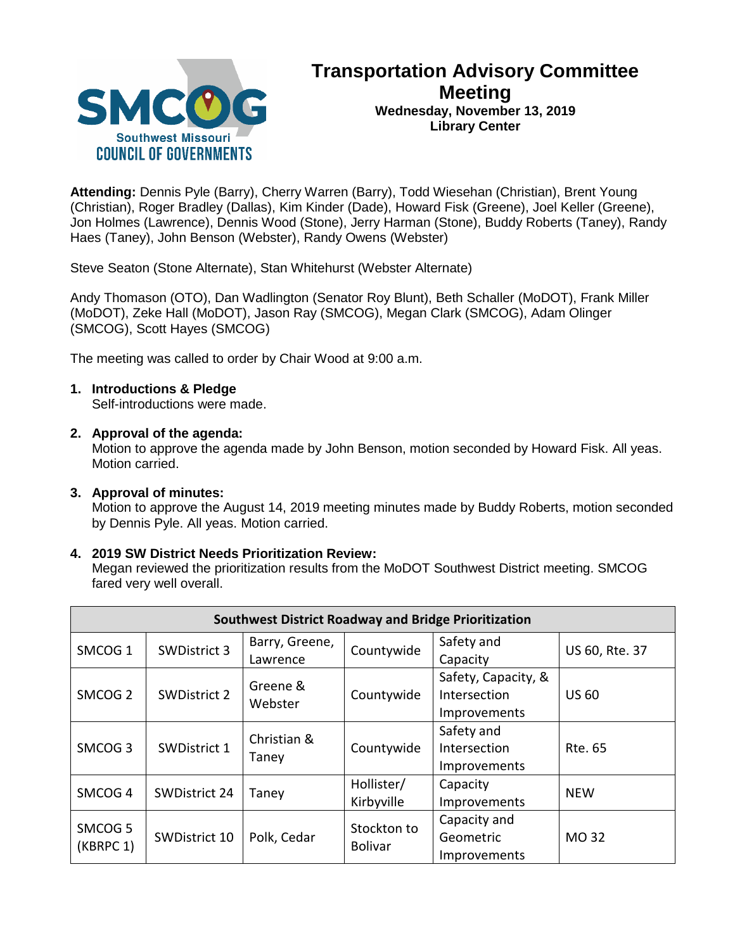

# **Transportation Advisory Committee Meeting Wednesday, November 13, 2019 Library Center**

**Attending:** Dennis Pyle (Barry), Cherry Warren (Barry), Todd Wiesehan (Christian), Brent Young (Christian), Roger Bradley (Dallas), Kim Kinder (Dade), Howard Fisk (Greene), Joel Keller (Greene), Jon Holmes (Lawrence), Dennis Wood (Stone), Jerry Harman (Stone), Buddy Roberts (Taney), Randy Haes (Taney), John Benson (Webster), Randy Owens (Webster)

Steve Seaton (Stone Alternate), Stan Whitehurst (Webster Alternate)

Andy Thomason (OTO), Dan Wadlington (Senator Roy Blunt), Beth Schaller (MoDOT), Frank Miller (MoDOT), Zeke Hall (MoDOT), Jason Ray (SMCOG), Megan Clark (SMCOG), Adam Olinger (SMCOG), Scott Hayes (SMCOG)

The meeting was called to order by Chair Wood at 9:00 a.m.

# **1. Introductions & Pledge**

Self-introductions were made.

### **2. Approval of the agenda:**

Motion to approve the agenda made by John Benson, motion seconded by Howard Fisk. All yeas. Motion carried.

### **3. Approval of minutes:**

Motion to approve the August 14, 2019 meeting minutes made by Buddy Roberts, motion seconded by Dennis Pyle. All yeas. Motion carried.

# **4. 2019 SW District Needs Prioritization Review:**

Megan reviewed the prioritization results from the MoDOT Southwest District meeting. SMCOG fared very well overall.

| <b>Southwest District Roadway and Bridge Prioritization</b> |                     |                      |                               |                     |                |  |  |
|-------------------------------------------------------------|---------------------|----------------------|-------------------------------|---------------------|----------------|--|--|
| SMCOG <sub>1</sub>                                          | <b>SWDistrict 3</b> | Barry, Greene,       | Countywide                    | Safety and          | US 60, Rte. 37 |  |  |
|                                                             |                     | Lawrence             |                               | Capacity            |                |  |  |
| SMCOG <sub>2</sub>                                          | <b>SWDistrict 2</b> | Greene &<br>Webster  | Countywide                    | Safety, Capacity, & |                |  |  |
|                                                             |                     |                      |                               | Intersection        | <b>US 60</b>   |  |  |
|                                                             |                     |                      |                               | Improvements        |                |  |  |
| SMCOG <sub>3</sub>                                          | <b>SWDistrict 1</b> | Christian &<br>Taney | Countywide                    | Safety and          |                |  |  |
|                                                             |                     |                      |                               | Intersection        | <b>Rte. 65</b> |  |  |
|                                                             |                     |                      |                               | Improvements        |                |  |  |
| SMCOG <sub>4</sub>                                          | SWDistrict 24       | Taney                | Hollister/                    | Capacity            | <b>NEW</b>     |  |  |
|                                                             |                     |                      | Kirbyville                    | Improvements        |                |  |  |
| SMCOG <sub>5</sub><br>(KBRPC 1)                             | SWDistrict 10       | Polk, Cedar          | Stockton to<br><b>Bolivar</b> | Capacity and        |                |  |  |
|                                                             |                     |                      |                               | Geometric           | MO 32          |  |  |
|                                                             |                     |                      |                               | Improvements        |                |  |  |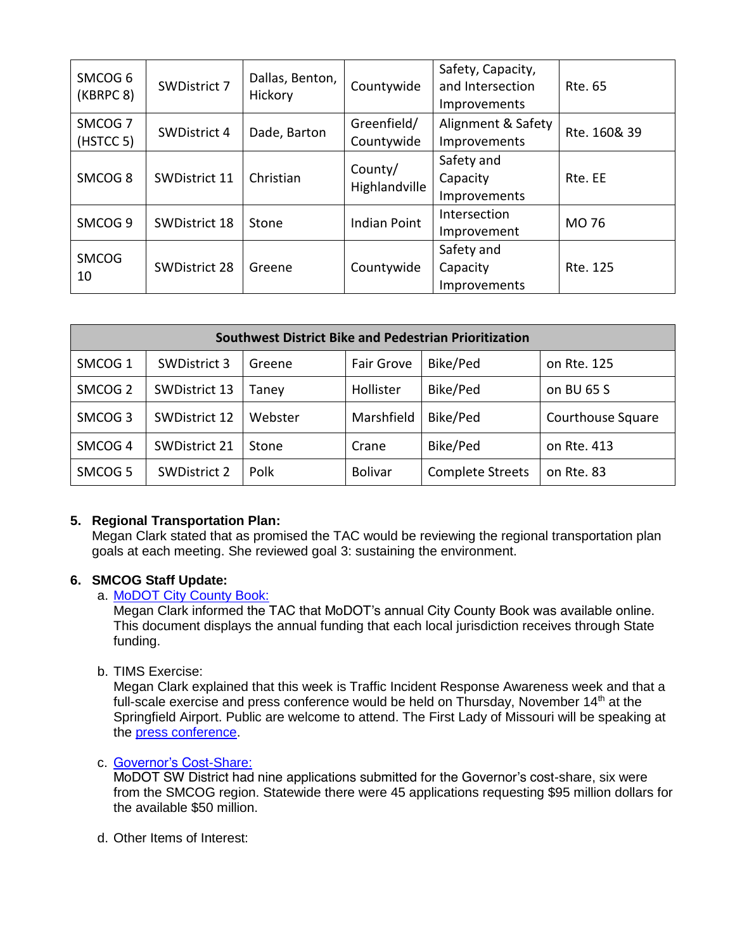| SMCOG <sub>6</sub><br>(KBRPC 8) | <b>SWDistrict 7</b>  | Dallas, Benton,<br>Hickory | Countywide                | Safety, Capacity,<br>and Intersection<br>Improvements | Rte. 65      |
|---------------------------------|----------------------|----------------------------|---------------------------|-------------------------------------------------------|--------------|
| SMCOG <sub>7</sub><br>(HSTCC 5) | <b>SWDistrict 4</b>  | Dade, Barton               | Greenfield/<br>Countywide | Alignment & Safety<br>Improvements                    | Rte. 160& 39 |
| SMCOG <sub>8</sub>              | <b>SWDistrict 11</b> | Christian                  | County/<br>Highlandville  | Safety and<br>Capacity<br>Improvements                | Rte. EE      |
| SMCOG <sub>9</sub>              | <b>SWDistrict 18</b> | Stone                      | <b>Indian Point</b>       | Intersection<br>Improvement                           | MO 76        |
| <b>SMCOG</b><br>10              | <b>SWDistrict 28</b> | Greene                     | Countywide                | Safety and<br>Capacity<br><i>Improvements</i>         | Rte. 125     |

| Southwest District Bike and Pedestrian Prioritization |                      |         |                   |                         |                   |  |  |  |
|-------------------------------------------------------|----------------------|---------|-------------------|-------------------------|-------------------|--|--|--|
| SMCOG <sub>1</sub>                                    | <b>SWDistrict 3</b>  | Greene  | <b>Fair Grove</b> | Bike/Ped                | on Rte. 125       |  |  |  |
| SMCOG <sub>2</sub>                                    | SWDistrict 13        | Taney   | Hollister         | Bike/Ped                | on BU 65 S        |  |  |  |
| SMCOG <sub>3</sub>                                    | <b>SWDistrict 12</b> | Webster | Marshfield        | Bike/Ped                | Courthouse Square |  |  |  |
| SMCOG <sub>4</sub>                                    | <b>SWDistrict 21</b> | Stone   | Crane             | Bike/Ped                | on Rte. 413       |  |  |  |
| SMCOG <sub>5</sub>                                    | <b>SWDistrict 2</b>  | Polk    | <b>Bolivar</b>    | <b>Complete Streets</b> | on Rte. 83        |  |  |  |

# **5. Regional Transportation Plan:**

Megan Clark stated that as promised the TAC would be reviewing the regional transportation plan goals at each meeting. She reviewed goal 3: sustaining the environment.

# **6. SMCOG Staff Update:**

# a. [MoDOT City County Book:](https://www.modot.org/sites/default/files/documents/2019%20City%20County%20Book.pdf)

Megan Clark informed the TAC that MoDOT's annual City County Book was available online. This document displays the annual funding that each local jurisdiction receives through State funding.

b. TIMS Exercise:

Megan Clark explained that this week is Traffic Incident Response Awareness week and that a full-scale exercise and press conference would be held on Thursday, November 14<sup>th</sup> at the Springfield Airport. Public are welcome to attend. The First Lady of Missouri will be speaking at the [press conference.](https://www.modot.org/node/17235)

# c. [Governor's Cost-Share:](https://www.modot.org/governors-transportation-cost-share-program)

MoDOT SW District had nine applications submitted for the Governor's cost-share, six were from the SMCOG region. Statewide there were 45 applications requesting \$95 million dollars for the available \$50 million.

d. Other Items of Interest: